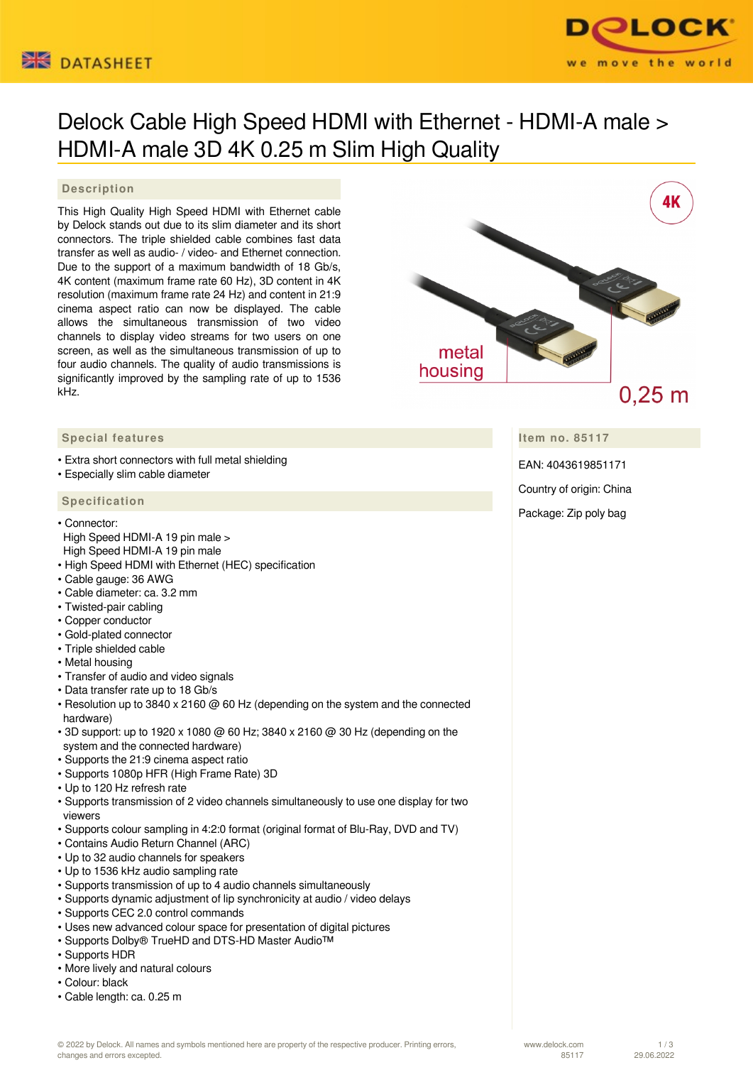



# Delock Cable High Speed HDMI with Ethernet - HDMI-A male > HDMI-A male 3D 4K 0.25 m Slim High Quality

### **Description**

This High Quality High Speed HDMI with Ethernet cable by Delock stands out due to its slim diameter and its short connectors. The triple shielded cable combines fast data transfer as well as audio- / video- and Ethernet connection. Due to the support of a maximum bandwidth of 18 Gb/s, 4K content (maximum frame rate 60 Hz), 3D content in 4K resolution (maximum frame rate 24 Hz) and content in 21:9 cinema aspect ratio can now be displayed. The cable allows the simultaneous transmission of two video channels to display video streams for two users on one screen, as well as the simultaneous transmission of up to four audio channels. The quality of audio transmissions is significantly improved by the sampling rate of up to 1536 kHz.



**Item no. 85117**

EAN: 4043619851171

Country of origin: China

### Package: Zip poly bag

## **Special features**

- Extra short connectors with full metal shielding
- Especially slim cable diameter

#### **Specification**

- Connector:
- High Speed HDMI-A 19 pin male > High Speed HDMI-A 19 pin male
- High Speed HDMI with Ethernet (HEC) specification
- Cable gauge: 36 AWG
- Cable diameter: ca. 3.2 mm
- Twisted-pair cabling
- Copper conductor
- Gold-plated connector
- Triple shielded cable
- Metal housing
- Transfer of audio and video signals
- Data transfer rate up to 18 Gb/s
- Resolution up to 3840 x 2160 @ 60 Hz (depending on the system and the connected hardware)
- $\cdot$  3D support: up to 1920 x 1080  $\omega$  60 Hz; 3840 x 2160  $\omega$  30 Hz (depending on the system and the connected hardware)
- Supports the 21:9 cinema aspect ratio
- Supports 1080p HFR (High Frame Rate) 3D
- Up to 120 Hz refresh rate
- Supports transmission of 2 video channels simultaneously to use one display for two viewers
- Supports colour sampling in 4:2:0 format (original format of Blu-Ray, DVD and TV)
- Contains Audio Return Channel (ARC)
- Up to 32 audio channels for speakers
- Up to 1536 kHz audio sampling rate
- Supports transmission of up to 4 audio channels simultaneously
- Supports dynamic adjustment of lip synchronicity at audio / video delays
- Supports CEC 2.0 control commands
- Uses new advanced colour space for presentation of digital pictures
- Supports Dolby® TrueHD and DTS-HD Master Audio™
- Supports HDR
- More lively and natural colours
- Colour: black
- Cable length: ca. 0.25 m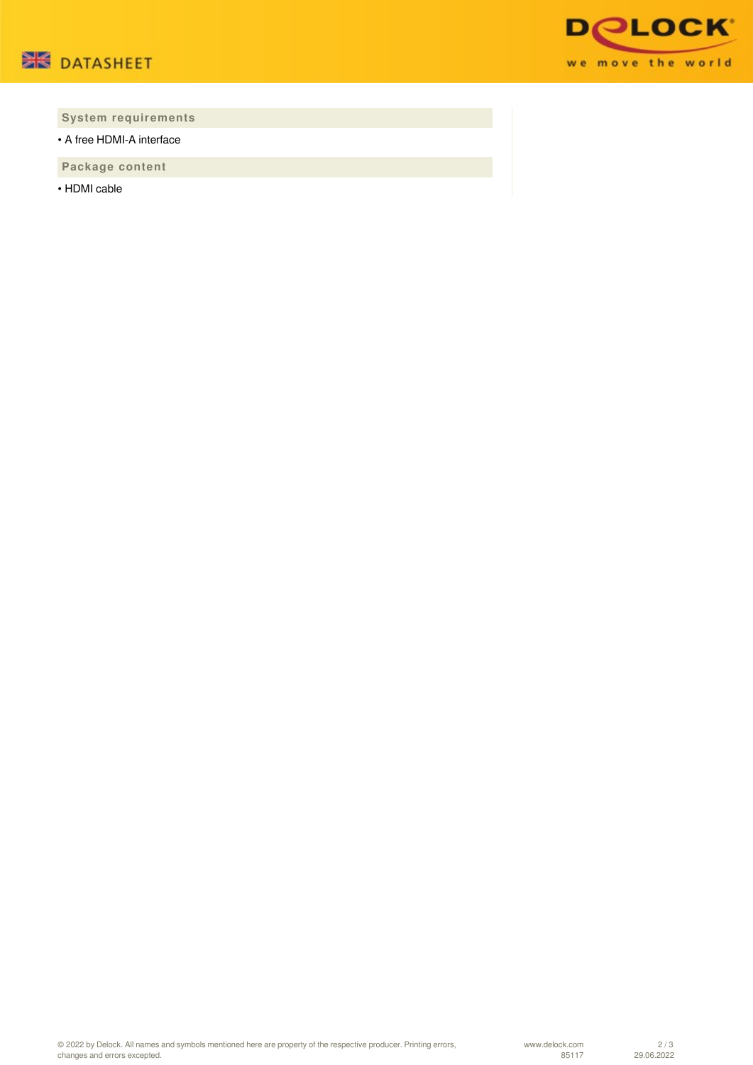



## **System requirements**

• A free HDMI-A interface

 **Package content**

• HDMI cable